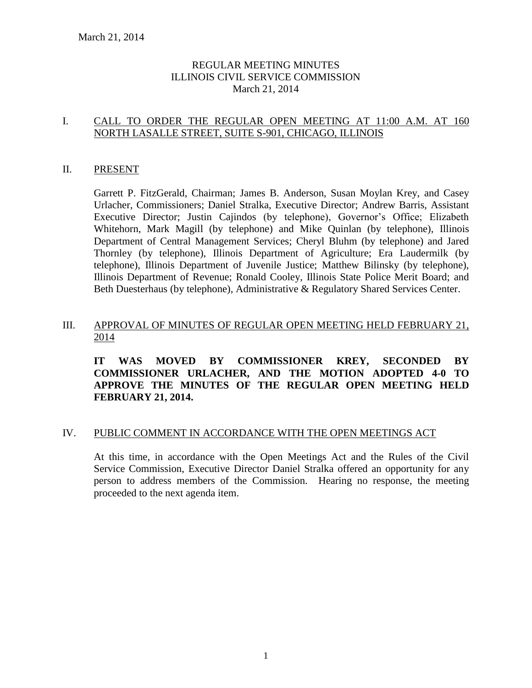# REGULAR MEETING MINUTES ILLINOIS CIVIL SERVICE COMMISSION March 21, 2014

# I. CALL TO ORDER THE REGULAR OPEN MEETING AT 11:00 A.M. AT 160 NORTH LASALLE STREET, SUITE S-901, CHICAGO, ILLINOIS

### II. PRESENT

Garrett P. FitzGerald, Chairman; James B. Anderson, Susan Moylan Krey, and Casey Urlacher, Commissioners; Daniel Stralka, Executive Director; Andrew Barris, Assistant Executive Director; Justin Cajindos (by telephone), Governor's Office; Elizabeth Whitehorn, Mark Magill (by telephone) and Mike Quinlan (by telephone), Illinois Department of Central Management Services; Cheryl Bluhm (by telephone) and Jared Thornley (by telephone), Illinois Department of Agriculture; Era Laudermilk (by telephone), Illinois Department of Juvenile Justice; Matthew Bilinsky (by telephone), Illinois Department of Revenue; Ronald Cooley, Illinois State Police Merit Board; and Beth Duesterhaus (by telephone), Administrative & Regulatory Shared Services Center.

# III. APPROVAL OF MINUTES OF REGULAR OPEN MEETING HELD FEBRUARY 21, 2014

**IT WAS MOVED BY COMMISSIONER KREY, SECONDED BY COMMISSIONER URLACHER, AND THE MOTION ADOPTED 4-0 TO APPROVE THE MINUTES OF THE REGULAR OPEN MEETING HELD FEBRUARY 21, 2014.** 

### IV. PUBLIC COMMENT IN ACCORDANCE WITH THE OPEN MEETINGS ACT

At this time, in accordance with the Open Meetings Act and the Rules of the Civil Service Commission, Executive Director Daniel Stralka offered an opportunity for any person to address members of the Commission. Hearing no response, the meeting proceeded to the next agenda item.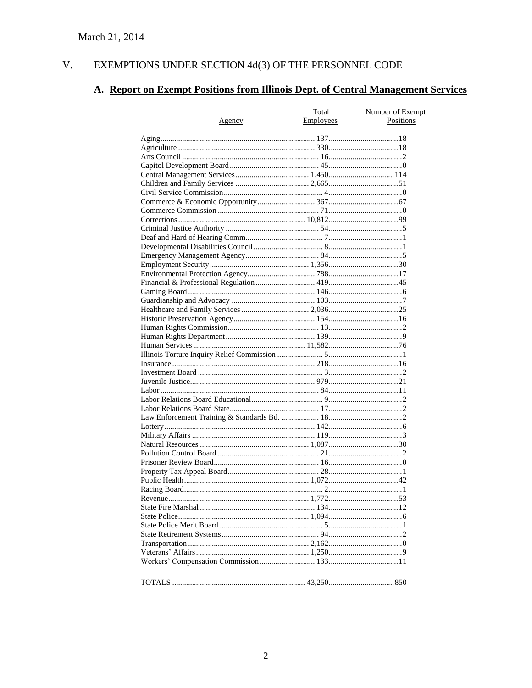#### $V<sub>r</sub>$ EXEMPTIONS UNDER SECTION 4d(3) OF THE PERSONNEL CODE

# A. Report on Exempt Positions from Illinois Dept. of Central Management Services

|        | Total     | Number of Exempt |
|--------|-----------|------------------|
| Agency | Employees | Positions        |
|        |           |                  |
|        |           |                  |
|        |           |                  |
|        |           |                  |
|        |           |                  |
|        |           |                  |
|        |           |                  |
|        |           |                  |
|        |           |                  |
|        |           |                  |
|        |           |                  |
|        |           |                  |
|        |           |                  |
|        |           |                  |
|        |           |                  |
|        |           |                  |
|        |           |                  |
|        |           |                  |
|        |           |                  |
|        |           |                  |
|        |           |                  |
|        |           |                  |
|        |           |                  |
|        |           |                  |
|        |           |                  |
|        |           |                  |
|        |           |                  |
|        |           |                  |
|        |           |                  |
|        |           |                  |
|        |           |                  |
|        |           |                  |
|        |           |                  |
|        |           |                  |
|        |           |                  |
|        |           |                  |
|        |           |                  |
|        |           |                  |
|        |           |                  |
|        |           |                  |
|        |           |                  |
|        |           |                  |
|        |           |                  |
|        |           |                  |
|        |           |                  |
|        |           |                  |
|        |           |                  |
|        |           |                  |
|        |           |                  |
|        |           |                  |
|        |           |                  |
|        |           |                  |
|        |           |                  |
|        |           |                  |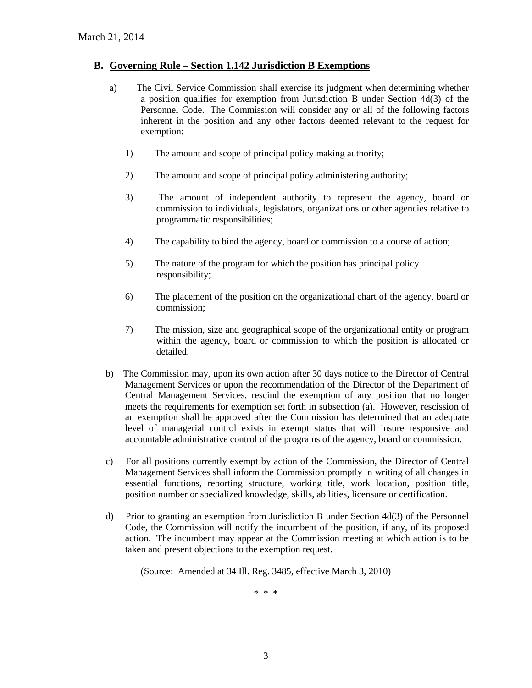#### **B. Governing Rule – Section 1.142 Jurisdiction B Exemptions**

- a) The Civil Service Commission shall exercise its judgment when determining whether a position qualifies for exemption from Jurisdiction B under Section 4d(3) of the Personnel Code. The Commission will consider any or all of the following factors inherent in the position and any other factors deemed relevant to the request for exemption:
	- 1) The amount and scope of principal policy making authority;
	- 2) The amount and scope of principal policy administering authority;
	- 3) The amount of independent authority to represent the agency, board or commission to individuals, legislators, organizations or other agencies relative to programmatic responsibilities;
	- 4) The capability to bind the agency, board or commission to a course of action;
	- 5) The nature of the program for which the position has principal policy responsibility;
	- 6) The placement of the position on the organizational chart of the agency, board or commission;
	- 7) The mission, size and geographical scope of the organizational entity or program within the agency, board or commission to which the position is allocated or detailed.
- b) The Commission may, upon its own action after 30 days notice to the Director of Central Management Services or upon the recommendation of the Director of the Department of Central Management Services, rescind the exemption of any position that no longer meets the requirements for exemption set forth in subsection (a). However, rescission of an exemption shall be approved after the Commission has determined that an adequate level of managerial control exists in exempt status that will insure responsive and accountable administrative control of the programs of the agency, board or commission.
- c) For all positions currently exempt by action of the Commission, the Director of Central Management Services shall inform the Commission promptly in writing of all changes in essential functions, reporting structure, working title, work location, position title, position number or specialized knowledge, skills, abilities, licensure or certification.
- d) Prior to granting an exemption from Jurisdiction B under Section 4d(3) of the Personnel Code, the Commission will notify the incumbent of the position, if any, of its proposed action. The incumbent may appear at the Commission meeting at which action is to be taken and present objections to the exemption request.

(Source: Amended at 34 Ill. Reg. 3485, effective March 3, 2010)

\* \* \*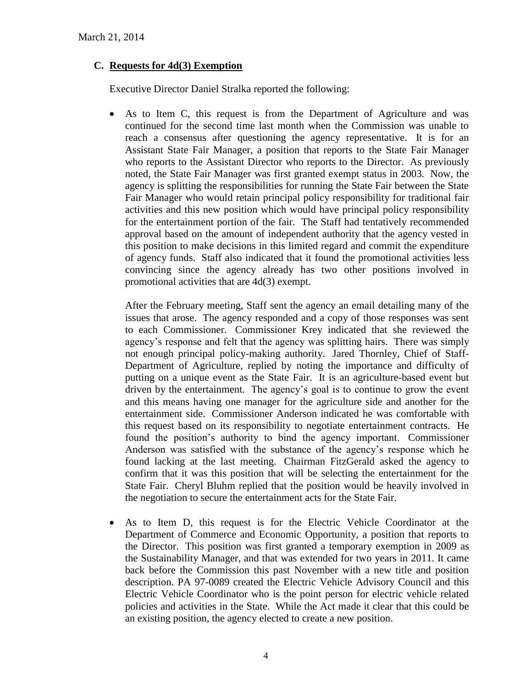# **C. Requests for 4d(3) Exemption**

Executive Director Daniel Stralka reported the following:

 As to Item C, this request is from the Department of Agriculture and was continued for the second time last month when the Commission was unable to reach a consensus after questioning the agency representative. It is for an Assistant State Fair Manager, a position that reports to the State Fair Manager who reports to the Assistant Director who reports to the Director. As previously noted, the State Fair Manager was first granted exempt status in 2003. Now, the agency is splitting the responsibilities for running the State Fair between the State Fair Manager who would retain principal policy responsibility for traditional fair activities and this new position which would have principal policy responsibility for the entertainment portion of the fair. The Staff had tentatively recommended approval based on the amount of independent authority that the agency vested in this position to make decisions in this limited regard and commit the expenditure of agency funds. Staff also indicated that it found the promotional activities less convincing since the agency already has two other positions involved in promotional activities that are 4d(3) exempt.

After the February meeting, Staff sent the agency an email detailing many of the issues that arose. The agency responded and a copy of those responses was sent to each Commissioner. Commissioner Krey indicated that she reviewed the agency's response and felt that the agency was splitting hairs. There was simply not enough principal policy-making authority. Jared Thornley, Chief of Staff-Department of Agriculture, replied by noting the importance and difficulty of putting on a unique event as the State Fair. It is an agriculture-based event but driven by the entertainment. The agency's goal is to continue to grow the event and this means having one manager for the agriculture side and another for the entertainment side. Commissioner Anderson indicated he was comfortable with this request based on its responsibility to negotiate entertainment contracts. He found the position's authority to bind the agency important. Commissioner Anderson was satisfied with the substance of the agency's response which he found lacking at the last meeting. Chairman FitzGerald asked the agency to confirm that it was this position that will be selecting the entertainment for the State Fair. Cheryl Bluhm replied that the position would be heavily involved in the negotiation to secure the entertainment acts for the State Fair.

 As to Item D, this request is for the Electric Vehicle Coordinator at the Department of Commerce and Economic Opportunity, a position that reports to the Director. This position was first granted a temporary exemption in 2009 as the Sustainability Manager, and that was extended for two years in 2011. It came back before the Commission this past November with a new title and position description. PA 97-0089 created the Electric Vehicle Advisory Council and this Electric Vehicle Coordinator who is the point person for electric vehicle related policies and activities in the State. While the Act made it clear that this could be an existing position, the agency elected to create a new position.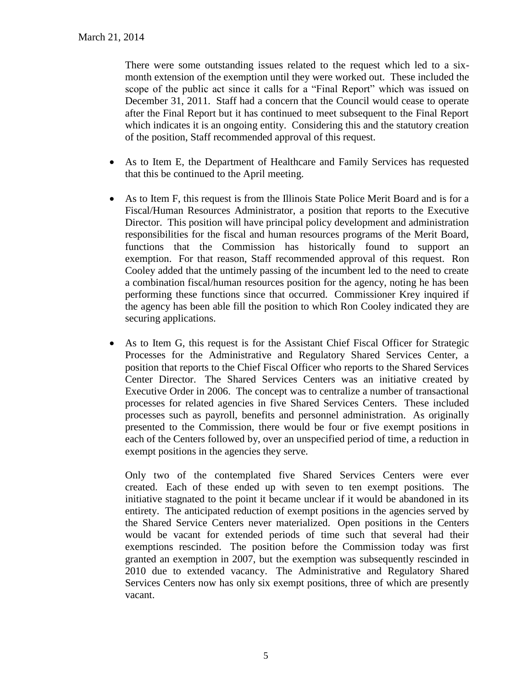There were some outstanding issues related to the request which led to a sixmonth extension of the exemption until they were worked out. These included the scope of the public act since it calls for a "Final Report" which was issued on December 31, 2011. Staff had a concern that the Council would cease to operate after the Final Report but it has continued to meet subsequent to the Final Report which indicates it is an ongoing entity. Considering this and the statutory creation of the position, Staff recommended approval of this request.

- As to Item E, the Department of Healthcare and Family Services has requested that this be continued to the April meeting.
- As to Item F, this request is from the Illinois State Police Merit Board and is for a Fiscal/Human Resources Administrator, a position that reports to the Executive Director. This position will have principal policy development and administration responsibilities for the fiscal and human resources programs of the Merit Board, functions that the Commission has historically found to support an exemption. For that reason, Staff recommended approval of this request. Ron Cooley added that the untimely passing of the incumbent led to the need to create a combination fiscal/human resources position for the agency, noting he has been performing these functions since that occurred. Commissioner Krey inquired if the agency has been able fill the position to which Ron Cooley indicated they are securing applications.
- As to Item G, this request is for the Assistant Chief Fiscal Officer for Strategic Processes for the Administrative and Regulatory Shared Services Center, a position that reports to the Chief Fiscal Officer who reports to the Shared Services Center Director. The Shared Services Centers was an initiative created by Executive Order in 2006. The concept was to centralize a number of transactional processes for related agencies in five Shared Services Centers. These included processes such as payroll, benefits and personnel administration. As originally presented to the Commission, there would be four or five exempt positions in each of the Centers followed by, over an unspecified period of time, a reduction in exempt positions in the agencies they serve.

Only two of the contemplated five Shared Services Centers were ever created. Each of these ended up with seven to ten exempt positions. The initiative stagnated to the point it became unclear if it would be abandoned in its entirety. The anticipated reduction of exempt positions in the agencies served by the Shared Service Centers never materialized. Open positions in the Centers would be vacant for extended periods of time such that several had their exemptions rescinded. The position before the Commission today was first granted an exemption in 2007, but the exemption was subsequently rescinded in 2010 due to extended vacancy. The Administrative and Regulatory Shared Services Centers now has only six exempt positions, three of which are presently vacant.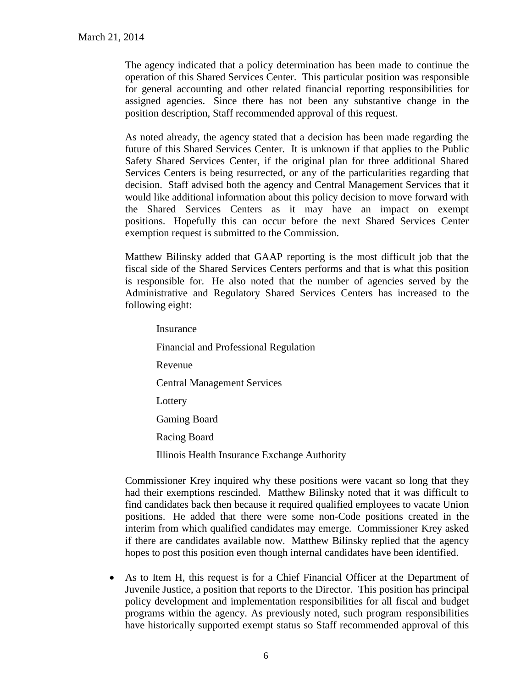The agency indicated that a policy determination has been made to continue the operation of this Shared Services Center. This particular position was responsible for general accounting and other related financial reporting responsibilities for assigned agencies. Since there has not been any substantive change in the position description, Staff recommended approval of this request.

As noted already, the agency stated that a decision has been made regarding the future of this Shared Services Center. It is unknown if that applies to the Public Safety Shared Services Center, if the original plan for three additional Shared Services Centers is being resurrected, or any of the particularities regarding that decision. Staff advised both the agency and Central Management Services that it would like additional information about this policy decision to move forward with the Shared Services Centers as it may have an impact on exempt positions. Hopefully this can occur before the next Shared Services Center exemption request is submitted to the Commission.

Matthew Bilinsky added that GAAP reporting is the most difficult job that the fiscal side of the Shared Services Centers performs and that is what this position is responsible for. He also noted that the number of agencies served by the Administrative and Regulatory Shared Services Centers has increased to the following eight:

Insurance Financial and Professional Regulation Revenue Central Management Services Lottery Gaming Board Racing Board Illinois Health Insurance Exchange Authority

Commissioner Krey inquired why these positions were vacant so long that they had their exemptions rescinded. Matthew Bilinsky noted that it was difficult to find candidates back then because it required qualified employees to vacate Union positions. He added that there were some non-Code positions created in the interim from which qualified candidates may emerge. Commissioner Krey asked if there are candidates available now. Matthew Bilinsky replied that the agency hopes to post this position even though internal candidates have been identified.

 As to Item H, this request is for a Chief Financial Officer at the Department of Juvenile Justice, a position that reports to the Director. This position has principal policy development and implementation responsibilities for all fiscal and budget programs within the agency. As previously noted, such program responsibilities have historically supported exempt status so Staff recommended approval of this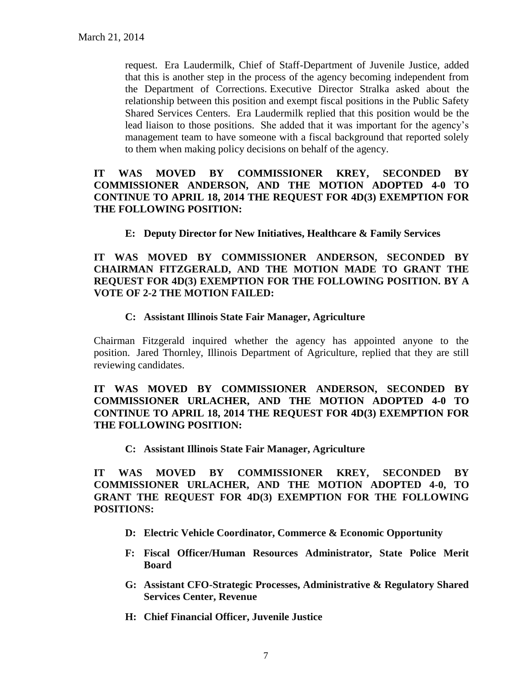request. Era Laudermilk, Chief of Staff-Department of Juvenile Justice, added that this is another step in the process of the agency becoming independent from the Department of Corrections. Executive Director Stralka asked about the relationship between this position and exempt fiscal positions in the Public Safety Shared Services Centers. Era Laudermilk replied that this position would be the lead liaison to those positions. She added that it was important for the agency's management team to have someone with a fiscal background that reported solely to them when making policy decisions on behalf of the agency.

### **IT WAS MOVED BY COMMISSIONER KREY, SECONDED BY COMMISSIONER ANDERSON, AND THE MOTION ADOPTED 4-0 TO CONTINUE TO APRIL 18, 2014 THE REQUEST FOR 4D(3) EXEMPTION FOR THE FOLLOWING POSITION:**

**E: Deputy Director for New Initiatives, Healthcare & Family Services**

**IT WAS MOVED BY COMMISSIONER ANDERSON, SECONDED BY CHAIRMAN FITZGERALD, AND THE MOTION MADE TO GRANT THE REQUEST FOR 4D(3) EXEMPTION FOR THE FOLLOWING POSITION. BY A VOTE OF 2-2 THE MOTION FAILED:**

### **C: Assistant Illinois State Fair Manager, Agriculture**

Chairman Fitzgerald inquired whether the agency has appointed anyone to the position. Jared Thornley, Illinois Department of Agriculture, replied that they are still reviewing candidates.

# **IT WAS MOVED BY COMMISSIONER ANDERSON, SECONDED BY COMMISSIONER URLACHER, AND THE MOTION ADOPTED 4-0 TO CONTINUE TO APRIL 18, 2014 THE REQUEST FOR 4D(3) EXEMPTION FOR THE FOLLOWING POSITION:**

**C: Assistant Illinois State Fair Manager, Agriculture**

**IT WAS MOVED BY COMMISSIONER KREY, SECONDED BY COMMISSIONER URLACHER, AND THE MOTION ADOPTED 4-0, TO GRANT THE REQUEST FOR 4D(3) EXEMPTION FOR THE FOLLOWING POSITIONS:**

- **D: Electric Vehicle Coordinator, Commerce & Economic Opportunity**
- **F: Fiscal Officer/Human Resources Administrator, State Police Merit Board**
- **G: Assistant CFO-Strategic Processes, Administrative & Regulatory Shared Services Center, Revenue**
- **H: Chief Financial Officer, Juvenile Justice**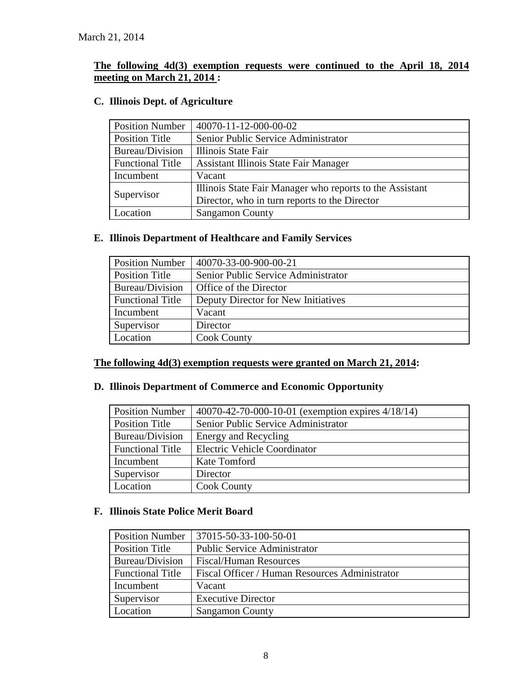# **The following 4d(3) exemption requests were continued to the April 18, 2014 meeting on March 21, 2014 :**

# **C. Illinois Dept. of Agriculture**

| <b>Position Number</b>  | 40070-11-12-000-00-02                                    |
|-------------------------|----------------------------------------------------------|
| <b>Position Title</b>   | Senior Public Service Administrator                      |
| Bureau/Division         | Illinois State Fair                                      |
| <b>Functional Title</b> | Assistant Illinois State Fair Manager                    |
| Incumbent               | Vacant                                                   |
| Supervisor              | Illinois State Fair Manager who reports to the Assistant |
|                         | Director, who in turn reports to the Director            |
| Location                | <b>Sangamon County</b>                                   |

# **E. Illinois Department of Healthcare and Family Services**

| <b>Position Number</b>  | 40070-33-00-900-00-21               |
|-------------------------|-------------------------------------|
| <b>Position Title</b>   | Senior Public Service Administrator |
| Bureau/Division         | Office of the Director              |
| <b>Functional Title</b> | Deputy Director for New Initiatives |
| Incumbent               | Vacant                              |
| Supervisor              | Director                            |
| Location                | <b>Cook County</b>                  |

### **The following 4d(3) exemption requests were granted on March 21, 2014:**

# **D. Illinois Department of Commerce and Economic Opportunity**

| <b>Position Number</b>  | 40070-42-70-000-10-01 (exemption expires 4/18/14) |
|-------------------------|---------------------------------------------------|
| Position Title          | Senior Public Service Administrator               |
| Bureau/Division         | Energy and Recycling                              |
| <b>Functional Title</b> | <b>Electric Vehicle Coordinator</b>               |
| Incumbent               | Kate Tomford                                      |
| Supervisor              | Director                                          |
| Location                | <b>Cook County</b>                                |

# **F. Illinois State Police Merit Board**

| <b>Position Number</b>  | 37015-50-33-100-50-01                          |
|-------------------------|------------------------------------------------|
| <b>Position Title</b>   | <b>Public Service Administrator</b>            |
| Bureau/Division         | <b>Fiscal/Human Resources</b>                  |
| <b>Functional Title</b> | Fiscal Officer / Human Resources Administrator |
| Incumbent               | Vacant                                         |
| Supervisor              | <b>Executive Director</b>                      |
| Location                | <b>Sangamon County</b>                         |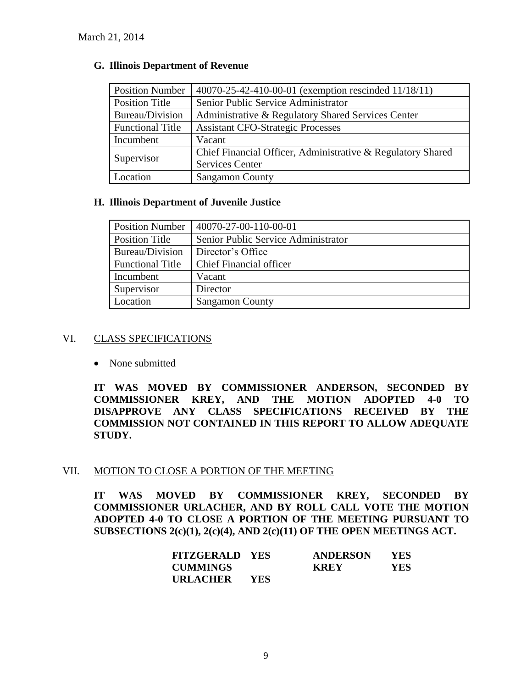| <b>Position Number</b>  | 40070-25-42-410-00-01 (exemption rescinded 11/18/11)        |
|-------------------------|-------------------------------------------------------------|
| <b>Position Title</b>   | Senior Public Service Administrator                         |
| Bureau/Division         | Administrative & Regulatory Shared Services Center          |
| <b>Functional Title</b> | <b>Assistant CFO-Strategic Processes</b>                    |
| Incumbent               | Vacant                                                      |
|                         | Chief Financial Officer, Administrative & Regulatory Shared |
| Supervisor              | <b>Services Center</b>                                      |
| Location                | <b>Sangamon County</b>                                      |

# **G. Illinois Department of Revenue**

# **H. Illinois Department of Juvenile Justice**

| <b>Position Number</b>  | 40070-27-00-110-00-01               |
|-------------------------|-------------------------------------|
| <b>Position Title</b>   | Senior Public Service Administrator |
| Bureau/Division         | Director's Office                   |
| <b>Functional Title</b> | <b>Chief Financial officer</b>      |
| Incumbent               | Vacant                              |
| Supervisor              | Director                            |
| Location                | <b>Sangamon County</b>              |

# VI. CLASS SPECIFICATIONS

• None submitted

**IT WAS MOVED BY COMMISSIONER ANDERSON, SECONDED BY COMMISSIONER KREY, AND THE MOTION ADOPTED 4-0 TO DISAPPROVE ANY CLASS SPECIFICATIONS RECEIVED BY THE COMMISSION NOT CONTAINED IN THIS REPORT TO ALLOW ADEQUATE STUDY.** 

# VII. MOTION TO CLOSE A PORTION OF THE MEETING

**IT WAS MOVED BY COMMISSIONER KREY, SECONDED BY COMMISSIONER URLACHER, AND BY ROLL CALL VOTE THE MOTION ADOPTED 4-0 TO CLOSE A PORTION OF THE MEETING PURSUANT TO SUBSECTIONS 2(c)(1), 2(c)(4), AND 2(c)(11) OF THE OPEN MEETINGS ACT.**

| <b>FITZGERALD YES</b> |            | <b>ANDERSON</b> | YES |
|-----------------------|------------|-----------------|-----|
| <b>CUMMINGS</b>       |            | <b>KREY</b>     | YES |
| URLACHER              | <b>YES</b> |                 |     |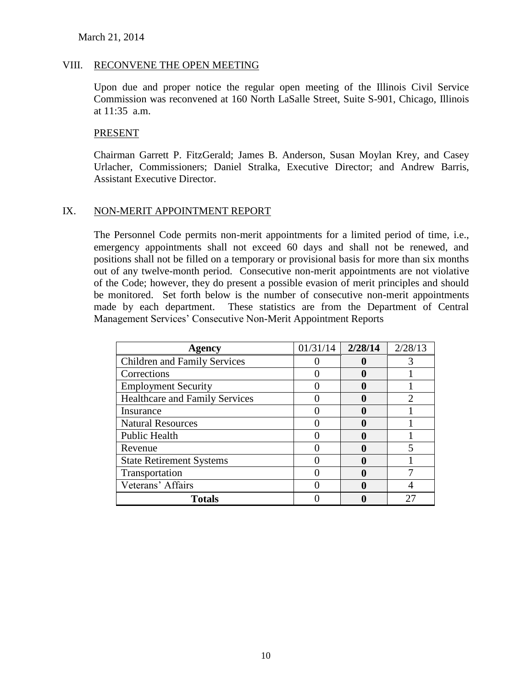#### March 21, 2014

#### VIII. RECONVENE THE OPEN MEETING

Upon due and proper notice the regular open meeting of the Illinois Civil Service Commission was reconvened at 160 North LaSalle Street, Suite S-901, Chicago, Illinois at 11:35 a.m.

#### PRESENT

Chairman Garrett P. FitzGerald; James B. Anderson, Susan Moylan Krey, and Casey Urlacher, Commissioners; Daniel Stralka, Executive Director; and Andrew Barris, Assistant Executive Director.

# IX. NON-MERIT APPOINTMENT REPORT

The Personnel Code permits non-merit appointments for a limited period of time, i.e., emergency appointments shall not exceed 60 days and shall not be renewed, and positions shall not be filled on a temporary or provisional basis for more than six months out of any twelve-month period. Consecutive non-merit appointments are not violative of the Code; however, they do present a possible evasion of merit principles and should be monitored. Set forth below is the number of consecutive non-merit appointments made by each department. These statistics are from the Department of Central Management Services' Consecutive Non-Merit Appointment Reports

| Agency                                | 01/31/14 | 2/28/14      | 2/28/13 |
|---------------------------------------|----------|--------------|---------|
| <b>Children and Family Services</b>   |          |              | 3       |
| Corrections                           |          |              |         |
| <b>Employment Security</b>            |          |              |         |
| <b>Healthcare and Family Services</b> |          | 0            |         |
| Insurance                             |          | $\mathbf{0}$ |         |
| <b>Natural Resources</b>              |          | 0            |         |
| <b>Public Health</b>                  |          |              |         |
| Revenue                               |          |              |         |
| <b>State Retirement Systems</b>       |          | 0            |         |
| Transportation                        |          | 0            |         |
| Veterans' Affairs                     |          | 0            |         |
| <b>Totals</b>                         |          |              |         |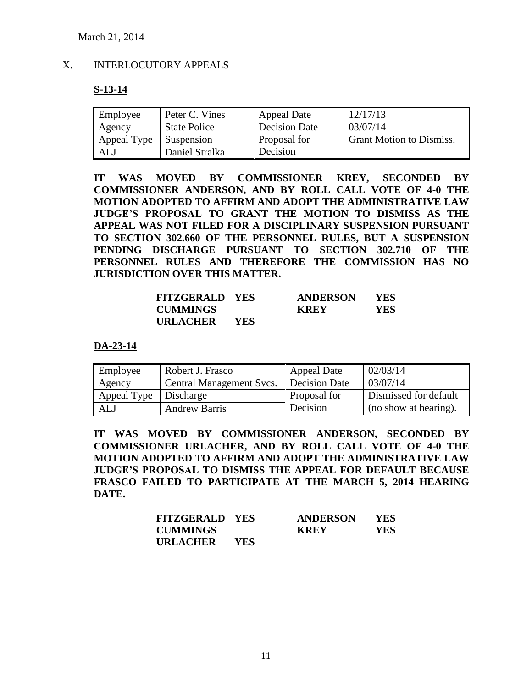#### X. INTERLOCUTORY APPEALS

#### **S-13-14**

| Employee    | Peter C. Vines      | <b>Appeal Date</b>  | 12/17/13                        |
|-------------|---------------------|---------------------|---------------------------------|
| Agency      | <b>State Police</b> | Decision Date       | 03/07/14                        |
| Appeal Type | Suspension          | <b>Proposal for</b> | <b>Grant Motion to Dismiss.</b> |
| <b>AL</b>   | Daniel Stralka      | Decision            |                                 |

**IT WAS MOVED BY COMMISSIONER KREY, SECONDED BY COMMISSIONER ANDERSON, AND BY ROLL CALL VOTE OF 4-0 THE MOTION ADOPTED TO AFFIRM AND ADOPT THE ADMINISTRATIVE LAW JUDGE'S PROPOSAL TO GRANT THE MOTION TO DISMISS AS THE APPEAL WAS NOT FILED FOR A DISCIPLINARY SUSPENSION PURSUANT TO SECTION 302.660 OF THE PERSONNEL RULES, BUT A SUSPENSION PENDING DISCHARGE PURSUANT TO SECTION 302.710 OF THE PERSONNEL RULES AND THEREFORE THE COMMISSION HAS NO JURISDICTION OVER THIS MATTER.**

| <b>FITZGERALD YES</b> |       | <b>ANDERSON</b> | <b>YES</b> |
|-----------------------|-------|-----------------|------------|
| <b>CUMMINGS</b>       |       | <b>KREY</b>     | YES        |
| URLACHER              | - YES |                 |            |

#### **DA-23-14**

| Employee    | Robert J. Frasco                | <b>Appeal Date</b>  | 02/03/14              |
|-------------|---------------------------------|---------------------|-----------------------|
| Agency      | <b>Central Management Svcs.</b> | Decision Date       | 03/07/14              |
| Appeal Type | Discharge                       | <b>Proposal for</b> | Dismissed for default |
| ALJ         | <b>Andrew Barris</b>            | Decision            | (no show at hearing). |

**IT WAS MOVED BY COMMISSIONER ANDERSON, SECONDED BY COMMISSIONER URLACHER, AND BY ROLL CALL VOTE OF 4-0 THE MOTION ADOPTED TO AFFIRM AND ADOPT THE ADMINISTRATIVE LAW JUDGE'S PROPOSAL TO DISMISS THE APPEAL FOR DEFAULT BECAUSE FRASCO FAILED TO PARTICIPATE AT THE MARCH 5, 2014 HEARING DATE.**

| <b>FITZGERALD YES</b> |            | <b>ANDERSON</b> | <b>YES</b> |
|-----------------------|------------|-----------------|------------|
| <b>CUMMINGS</b>       |            | <b>KREY</b>     | YES        |
| <b>URLACHER</b>       | <b>YES</b> |                 |            |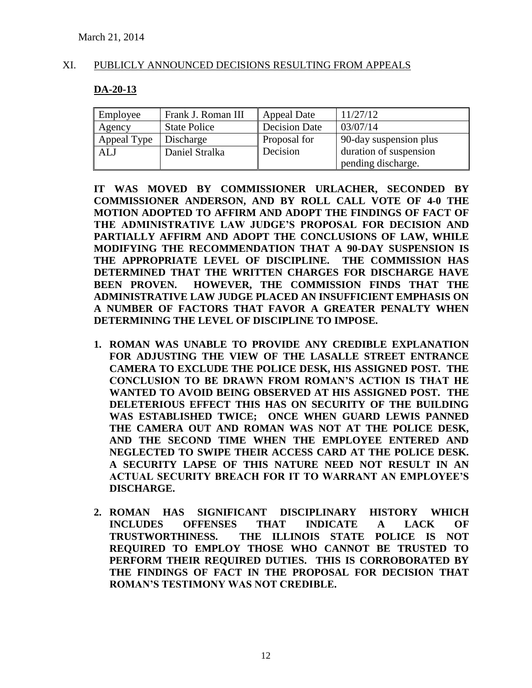### XI. PUBLICLY ANNOUNCED DECISIONS RESULTING FROM APPEALS

#### **DA-20-13**

| Employee    | Frank J. Roman III  | <b>Appeal Date</b>   | 11/27/12               |
|-------------|---------------------|----------------------|------------------------|
| Agency      | <b>State Police</b> | <b>Decision Date</b> | 03/07/14               |
| Appeal Type | Discharge           | Proposal for         | 90-day suspension plus |
| <b>ALJ</b>  | Daniel Stralka      | Decision             | duration of suspension |
|             |                     |                      | pending discharge.     |

**IT WAS MOVED BY COMMISSIONER URLACHER, SECONDED BY COMMISSIONER ANDERSON, AND BY ROLL CALL VOTE OF 4-0 THE MOTION ADOPTED TO AFFIRM AND ADOPT THE FINDINGS OF FACT OF THE ADMINISTRATIVE LAW JUDGE'S PROPOSAL FOR DECISION AND PARTIALLY AFFIRM AND ADOPT THE CONCLUSIONS OF LAW, WHILE MODIFYING THE RECOMMENDATION THAT A 90-DAY SUSPENSION IS THE APPROPRIATE LEVEL OF DISCIPLINE. THE COMMISSION HAS DETERMINED THAT THE WRITTEN CHARGES FOR DISCHARGE HAVE BEEN PROVEN. HOWEVER, THE COMMISSION FINDS THAT THE ADMINISTRATIVE LAW JUDGE PLACED AN INSUFFICIENT EMPHASIS ON A NUMBER OF FACTORS THAT FAVOR A GREATER PENALTY WHEN DETERMINING THE LEVEL OF DISCIPLINE TO IMPOSE.**

- **1. ROMAN WAS UNABLE TO PROVIDE ANY CREDIBLE EXPLANATION FOR ADJUSTING THE VIEW OF THE LASALLE STREET ENTRANCE CAMERA TO EXCLUDE THE POLICE DESK, HIS ASSIGNED POST. THE CONCLUSION TO BE DRAWN FROM ROMAN'S ACTION IS THAT HE WANTED TO AVOID BEING OBSERVED AT HIS ASSIGNED POST. THE DELETERIOUS EFFECT THIS HAS ON SECURITY OF THE BUILDING WAS ESTABLISHED TWICE; ONCE WHEN GUARD LEWIS PANNED THE CAMERA OUT AND ROMAN WAS NOT AT THE POLICE DESK, AND THE SECOND TIME WHEN THE EMPLOYEE ENTERED AND NEGLECTED TO SWIPE THEIR ACCESS CARD AT THE POLICE DESK. A SECURITY LAPSE OF THIS NATURE NEED NOT RESULT IN AN ACTUAL SECURITY BREACH FOR IT TO WARRANT AN EMPLOYEE'S DISCHARGE.**
- **2. ROMAN HAS SIGNIFICANT DISCIPLINARY HISTORY WHICH INCLUDES OFFENSES THAT INDICATE A LACK OF TRUSTWORTHINESS. THE ILLINOIS STATE POLICE IS NOT REQUIRED TO EMPLOY THOSE WHO CANNOT BE TRUSTED TO PERFORM THEIR REQUIRED DUTIES. THIS IS CORROBORATED BY THE FINDINGS OF FACT IN THE PROPOSAL FOR DECISION THAT ROMAN'S TESTIMONY WAS NOT CREDIBLE.**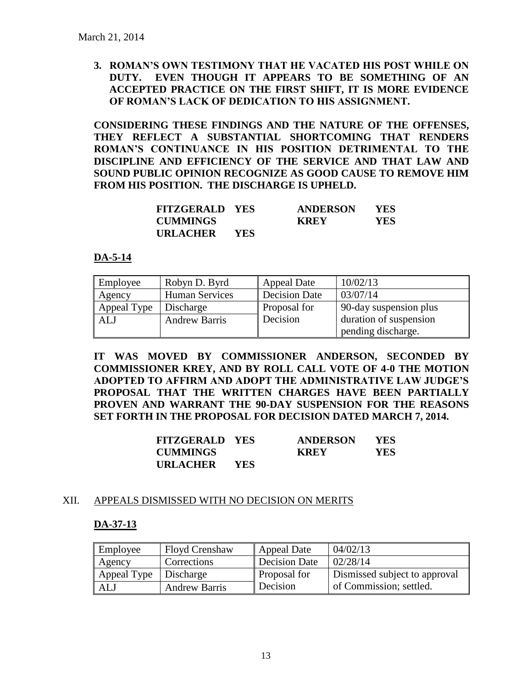**3. ROMAN'S OWN TESTIMONY THAT HE VACATED HIS POST WHILE ON DUTY. EVEN THOUGH IT APPEARS TO BE SOMETHING OF AN ACCEPTED PRACTICE ON THE FIRST SHIFT, IT IS MORE EVIDENCE OF ROMAN'S LACK OF DEDICATION TO HIS ASSIGNMENT.**

**CONSIDERING THESE FINDINGS AND THE NATURE OF THE OFFENSES, THEY REFLECT A SUBSTANTIAL SHORTCOMING THAT RENDERS ROMAN'S CONTINUANCE IN HIS POSITION DETRIMENTAL TO THE DISCIPLINE AND EFFICIENCY OF THE SERVICE AND THAT LAW AND SOUND PUBLIC OPINION RECOGNIZE AS GOOD CAUSE TO REMOVE HIM FROM HIS POSITION. THE DISCHARGE IS UPHELD.**

| <b>FITZGERALD YES</b> |            | <b>ANDERSON</b> | YES. |
|-----------------------|------------|-----------------|------|
| <b>CUMMINGS</b>       |            | KREY            | YES  |
| <b>URLACHER</b>       | <b>YES</b> |                 |      |

### **DA-5-14**

| Employee    | Robyn D. Byrd         | <b>Appeal Date</b> | 10/02/13               |
|-------------|-----------------------|--------------------|------------------------|
| Agency      | <b>Human Services</b> | Decision Date      | 03/07/14               |
| Appeal Type | Discharge             | Proposal for       | 90-day suspension plus |
| <b>ALJ</b>  | <b>Andrew Barris</b>  | Decision           | duration of suspension |
|             |                       |                    | pending discharge.     |

**IT WAS MOVED BY COMMISSIONER ANDERSON, SECONDED BY COMMISSIONER KREY, AND BY ROLL CALL VOTE OF 4-0 THE MOTION ADOPTED TO AFFIRM AND ADOPT THE ADMINISTRATIVE LAW JUDGE'S PROPOSAL THAT THE WRITTEN CHARGES HAVE BEEN PARTIALLY PROVEN AND WARRANT THE 90-DAY SUSPENSION FOR THE REASONS SET FORTH IN THE PROPOSAL FOR DECISION DATED MARCH 7, 2014.**

| <b>FITZGERALD YES</b> |            | <b>ANDERSON</b> | YES. |
|-----------------------|------------|-----------------|------|
| <b>CUMMINGS</b>       |            | <b>KREY</b>     | YES. |
| <b>URLACHER</b>       | <b>YES</b> |                 |      |

### XII. APPEALS DISMISSED WITH NO DECISION ON MERITS

### **DA-37-13**

| Employee                | <b>Floyd Crenshaw</b> | Appeal Date         | 04/02/13                      |
|-------------------------|-----------------------|---------------------|-------------------------------|
| Agency                  | Corrections           | Decision Date       | 02/28/14                      |
| Appeal Type   Discharge |                       | <b>Proposal for</b> | Dismissed subject to approval |
| ALJ                     | <b>Andrew Barris</b>  | Decision            | of Commission; settled.       |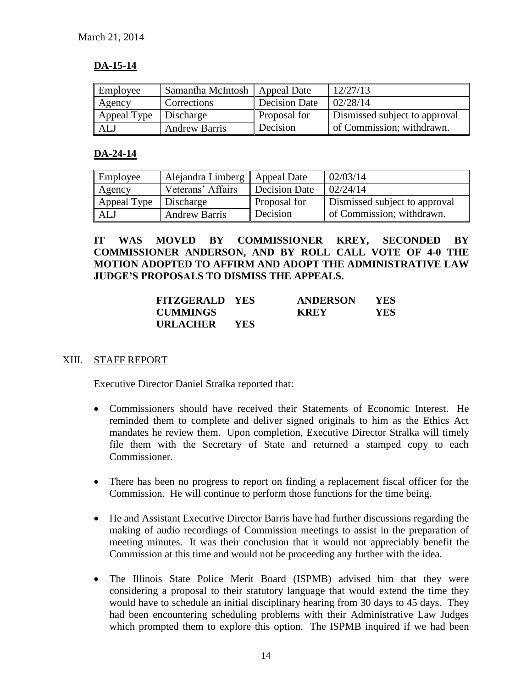# **DA-15-14**

| Employee                | Samantha McIntosh   Appeal Date |                     | 12/27/13                      |
|-------------------------|---------------------------------|---------------------|-------------------------------|
| Agency                  | <b>Corrections</b>              | Decision Date       | 02/28/14                      |
| Appeal Type   Discharge |                                 | <b>Proposal for</b> | Dismissed subject to approval |
| ALJ                     | <b>Andrew Barris</b>            | Decision            | of Commission; withdrawn.     |

# **DA-24-14**

| Employee    | Alejandra Limberg   Appeal Date |               | 02/03/14                      |
|-------------|---------------------------------|---------------|-------------------------------|
| Agency      | Veterans' Affairs               | Decision Date | 02/24/14                      |
| Appeal Type | Discharge                       | Proposal for  | Dismissed subject to approval |
| ALJ         | <b>Andrew Barris</b>            | Decision      | of Commission; withdrawn.     |

# **IT WAS MOVED BY COMMISSIONER KREY, SECONDED BY COMMISSIONER ANDERSON, AND BY ROLL CALL VOTE OF 4-0 THE MOTION ADOPTED TO AFFIRM AND ADOPT THE ADMINISTRATIVE LAW JUDGE'S PROPOSALS TO DISMISS THE APPEALS.**

| <b>FITZGERALD YES</b> |            | <b>ANDERSON</b> | <b>YES</b> |
|-----------------------|------------|-----------------|------------|
| <b>CUMMINGS</b>       |            | <b>KREY</b>     | YES.       |
| URLACHER              | <b>YES</b> |                 |            |

### XIII. STAFF REPORT

Executive Director Daniel Stralka reported that:

- Commissioners should have received their Statements of Economic Interest. He reminded them to complete and deliver signed originals to him as the Ethics Act mandates he review them. Upon completion, Executive Director Stralka will timely file them with the Secretary of State and returned a stamped copy to each Commissioner.
- There has been no progress to report on finding a replacement fiscal officer for the Commission. He will continue to perform those functions for the time being.
- He and Assistant Executive Director Barris have had further discussions regarding the making of audio recordings of Commission meetings to assist in the preparation of meeting minutes. It was their conclusion that it would not appreciably benefit the Commission at this time and would not be proceeding any further with the idea.
- The Illinois State Police Merit Board (ISPMB) advised him that they were considering a proposal to their statutory language that would extend the time they would have to schedule an initial disciplinary hearing from 30 days to 45 days. They had been encountering scheduling problems with their Administrative Law Judges which prompted them to explore this option. The ISPMB inquired if we had been